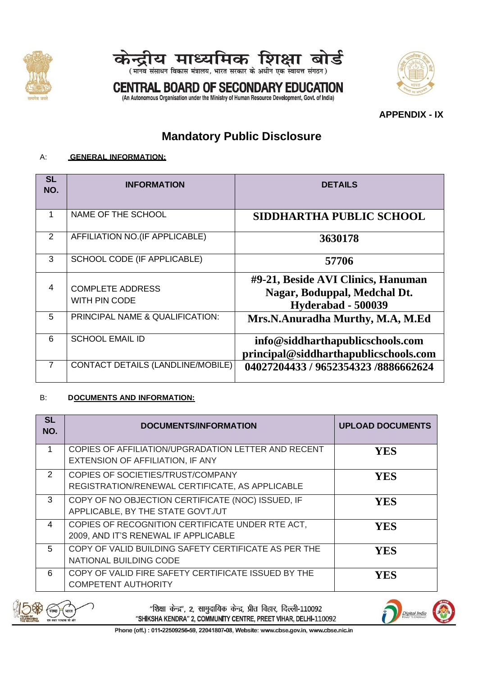



**CENTRAL BOARD OF SECONDARY EDUCATION** (An Autonomous Organisation under the Ministry of Human Resource Development, Govt. of India)

**APPENDIX - IX**

# **Mandatory Public Disclosure**

### A: **GENERAL INFORMATION:**

| <b>SL</b><br>NO. | <b>INFORMATION</b>                       | <b>DETAILS</b>                                                                           |
|------------------|------------------------------------------|------------------------------------------------------------------------------------------|
| 1                | NAME OF THE SCHOOL                       | SIDDHARTHA PUBLIC SCHOOL                                                                 |
| 2                | AFFILIATION NO. (IF APPLICABLE)          | 3630178                                                                                  |
| 3                | SCHOOL CODE (IF APPLICABLE)              | 57706                                                                                    |
| 4                | <b>COMPLETE ADDRESS</b><br>WITH PIN CODE | #9-21, Beside AVI Clinics, Hanuman<br>Nagar, Boduppal, Medchal Dt.<br>Hyderabad - 500039 |
| 5                | PRINCIPAL NAME & QUALIFICATION:          | Mrs.N.Anuradha Murthy, M.A, M.Ed                                                         |
| 6                | <b>SCHOOL EMAIL ID</b>                   | info@siddharthapublicschools.com<br>principal@siddharthapublicschools.com                |
| 7                | CONTACT DETAILS (LANDLINE/MOBILE)        | 04027204433 / 9652354323 /8886662624                                                     |

#### B: **DOCUMENTS AND INFORMATION:**

| <b>SL</b><br>NO. | <b>DOCUMENTS/INFORMATION</b>                                                             | <b>UPLOAD DOCUMENTS</b> |
|------------------|------------------------------------------------------------------------------------------|-------------------------|
| 1                | COPIES OF AFFILIATION/UPGRADATION LETTER AND RECENT<br>EXTENSION OF AFFILIATION, IF ANY  | <b>YES</b>              |
| $\mathcal{P}$    | COPIES OF SOCIETIES/TRUST/COMPANY<br>REGISTRATION/RENEWAL CERTIFICATE, AS APPLICABLE     | <b>YES</b>              |
| 3                | COPY OF NO OBJECTION CERTIFICATE (NOC) ISSUED, IF<br>APPLICABLE, BY THE STATE GOVT./UT   | <b>YES</b>              |
| 4                | COPIES OF RECOGNITION CERTIFICATE UNDER RTE ACT,<br>2009, AND IT'S RENEWAL IF APPLICABLE | <b>YES</b>              |
| 5                | COPY OF VALID BUILDING SAFETY CERTIFICATE AS PER THE<br>NATIONAL BUILDING CODE           | <b>YES</b>              |
| 6                | COPY OF VALID FIRE SAFETY CERTIFICATE ISSUED BY THE<br><b>COMPETENT AUTHORITY</b>        | <b>YES</b>              |

"शिक्षा केन्द्र", 2, सामुदायिक केन्द्र, प्रीत विहार, दिल्ली-110092 "SHIKSHA KENDRA" 2, COMMUNITY CENTRE, PREET VIHAR, DELHI-110092

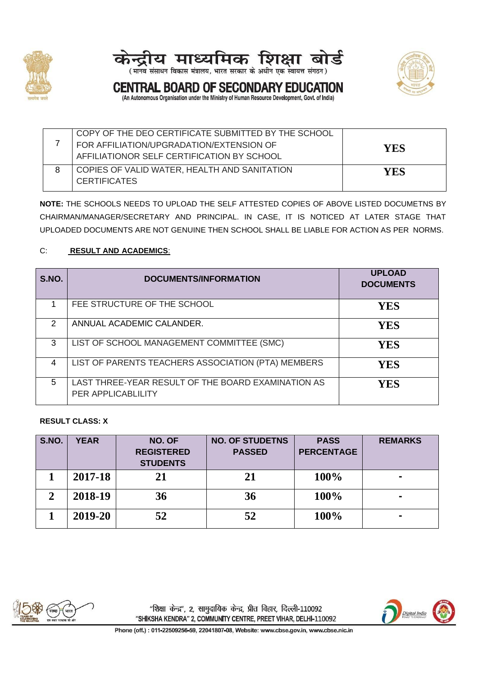





**CENTRAL BOARD OF SECONDARY EDUCATION** (An Autonomous Organisation under the Ministry of Human Resource Development, Govt. of India)

7 COPY OF THE DEO CERTIFICATE SUBMITTED BY THE SCHOOL FOR AFFILIATION/UPGRADATION/EXTENSION OF AFFILIATIONOR SELF CERTIFICATION BY SCHOOL **YES** 8 COPIES OF VALID WATER, HEALTH AND SANITATION **CERTIFICATES YES**

**NOTE:** THE SCHOOLS NEEDS TO UPLOAD THE SELF ATTESTED COPIES OF ABOVE LISTED DOCUMETNS BY CHAIRMAN/MANAGER/SECRETARY AND PRINCIPAL. IN CASE, IT IS NOTICED AT LATER STAGE THAT UPLOADED DOCUMENTS ARE NOT GENUINE THEN SCHOOL SHALL BE LIABLE FOR ACTION AS PER NORMS.

### C: **RESULT AND ACADEMICS**:

| S.NO.          | <b>DOCUMENTS/INFORMATION</b>                                                    | <b>UPLOAD</b><br><b>DOCUMENTS</b> |
|----------------|---------------------------------------------------------------------------------|-----------------------------------|
|                | FEE STRUCTURE OF THE SCHOOL                                                     | YES                               |
| $\mathfrak{p}$ | ANNUAL ACADEMIC CALANDER.                                                       | YES                               |
| 3              | LIST OF SCHOOL MANAGEMENT COMMITTEE (SMC)                                       | YES                               |
| 4              | LIST OF PARENTS TEACHERS ASSOCIATION (PTA) MEMBERS                              | YES                               |
| 5              | LAST THREE-YEAR RESULT OF THE BOARD EXAMINATION AS<br><b>PER APPLICABLILITY</b> | YES                               |

#### **RESULT CLASS: X**

| S.NO.         | <b>YEAR</b> | NO. OF<br><b>REGISTERED</b><br><b>STUDENTS</b> | <b>NO. OF STUDETNS</b><br><b>PASSED</b> | <b>PASS</b><br><b>PERCENTAGE</b> | <b>REMARKS</b> |
|---------------|-------------|------------------------------------------------|-----------------------------------------|----------------------------------|----------------|
|               | 2017-18     | 21                                             | 21                                      | 100%                             |                |
| $\mathcal{D}$ | 2018-19     | 36                                             | 36                                      | 100%                             |                |
|               | 2019-20     | 52                                             | 52                                      | 100%                             |                |



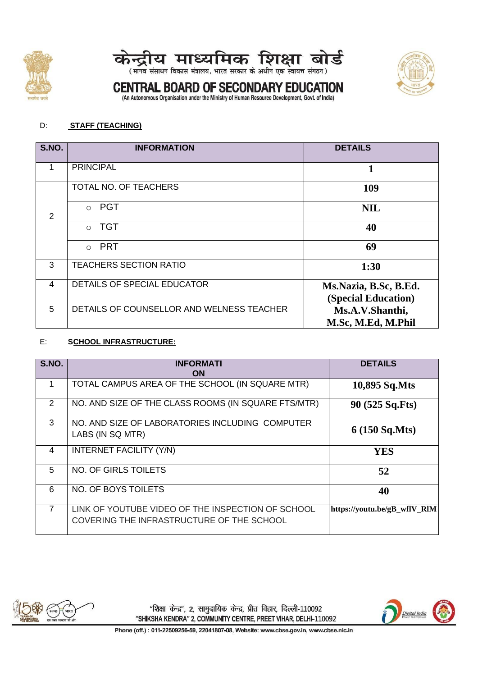





(मानव संसाधन विकास मंत्रालय, भारत सरकार के अधीन एक स्वायत्त संगठन)

# **CENTRAL BOARD OF SECONDARY EDUCATION**

(An Autonomous Organisation under the Ministry of Human Resource Development, Govt. of India)

#### D: **STAFF (TEACHING)**

| S.NO. | <b>INFORMATION</b>                        | <b>DETAILS</b>                               |
|-------|-------------------------------------------|----------------------------------------------|
| 1     | <b>PRINCIPAL</b>                          | 1                                            |
|       | TOTAL NO. OF TEACHERS                     | 109                                          |
| 2     | <b>PGT</b><br>$\Omega$                    | <b>NIL</b>                                   |
|       | <b>TGT</b><br>$\bigcirc$                  | 40                                           |
|       | <b>PRT</b><br>$\bigcirc$                  | 69                                           |
| 3     | <b>TEACHERS SECTION RATIO</b>             | 1:30                                         |
| 4     | <b>DETAILS OF SPECIAL EDUCATOR</b>        | Ms.Nazia, B.Sc, B.Ed.<br>(Special Education) |
| 5     | DETAILS OF COUNSELLOR AND WELNESS TEACHER | Ms.A.V.Shanthi,                              |
|       |                                           | M.Sc, M.Ed, M.Phil                           |

#### E: **SCHOOL INFRASTRUCTURE:**

| S.NO.          | <b>INFORMATI</b><br>ON                                                                         | <b>DETAILS</b>               |
|----------------|------------------------------------------------------------------------------------------------|------------------------------|
|                | TOTAL CAMPUS AREA OF THE SCHOOL (IN SQUARE MTR)                                                | 10,895 Sq.Mts                |
| 2              | NO. AND SIZE OF THE CLASS ROOMS (IN SQUARE FTS/MTR)                                            | 90 (525 Sq.Fts)              |
| 3              | NO. AND SIZE OF LABORATORIES INCLUDING COMPUTER<br>LABS (IN SQ MTR)                            | $6(150 \text{ Sq.Mts})$      |
| 4              | INTERNET FACILITY (Y/N)                                                                        | <b>YES</b>                   |
| 5              | NO. OF GIRLS TOILETS                                                                           | 52                           |
| 6              | NO. OF BOYS TOILETS                                                                            | 40                           |
| $\overline{7}$ | LINK OF YOUTUBE VIDEO OF THE INSPECTION OF SCHOOL<br>COVERING THE INFRASTRUCTURE OF THE SCHOOL | https://youtu.be/gB wflV RIM |



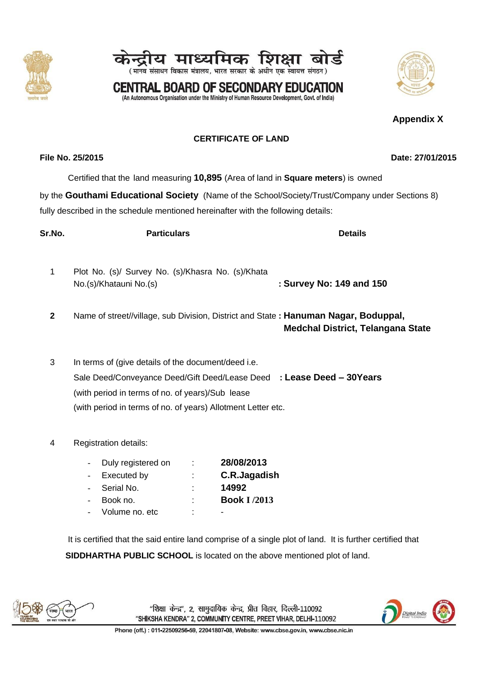#### "शिक्षा केन्द्र", 2, सामुदायिक केन्द्र, प्रीत विहार, दिल्ली-110092 "SHIKSHA KENDRA" 2, COMMUNITY CENTRE, PREET VIHAR, DELHI-110092

Phone (off.): 011-22509256-59, 22041807-08, Website: www.cbse.gov.in, www.cbse.nic.in

### **CERTIFICATE OF LAND**

Certified that the land measuring **10,895** (Area of land in **Square meters**) is owned

प्राध्यापक

(मानव संसाधन विकास मंत्रालय, भारत सरकार के अधीन एक स्वायत्त संगठन) **CENTRAL BOARD OF SECONDARY EDUCATION** (An Autonomous Organisation under the Ministry of Human Resource Development, Govt. of India)

by the **Gouthami Educational Society** (Name of the School/Society/Trust/Company under Sections 8) fully described in the schedule mentioned hereinafter with the following details:

| Sr.No.       | <b>Particulars</b>                                                                                                                                                               | <b>Details</b>                           |
|--------------|----------------------------------------------------------------------------------------------------------------------------------------------------------------------------------|------------------------------------------|
| 1            | Plot No. (s)/ Survey No. (s)/Khasra No. (s)/Khata<br>No.(s)/Khatauni No.(s)                                                                                                      | : Survey No: 149 and 150                 |
| $\mathbf{2}$ | Name of street//village, sub Division, District and State: Hanuman Nagar, Boduppal,                                                                                              | <b>Medchal District, Telangana State</b> |
| 3            | In terms of (give details of the document/deed i.e.<br>Sale Deed/Conveyance Deed/Gift Deed/Lease Deed : Lease Deed - 30Years<br>(with period in terms of no. of years)/Sub lease |                                          |

4 Registration details:

| Duly registered on | 28/08/2013          |
|--------------------|---------------------|
| <b>Executed by</b> | C.R.Jagadish        |
| Serial No.         | 14992               |
| Book no.           | <b>Book I /2013</b> |
| Volume no. etc     | -                   |

(with period in terms of no. of years) Allotment Letter etc.

It is certified that the said entire land comprise of a single plot of land. It is further certified that **SIDDHARTHA PUBLIC SCHOOL** is located on the above mentioned plot of land.







Digital India

**File No. 25/2015 Date: 27/01/2015**

**Appendix X**